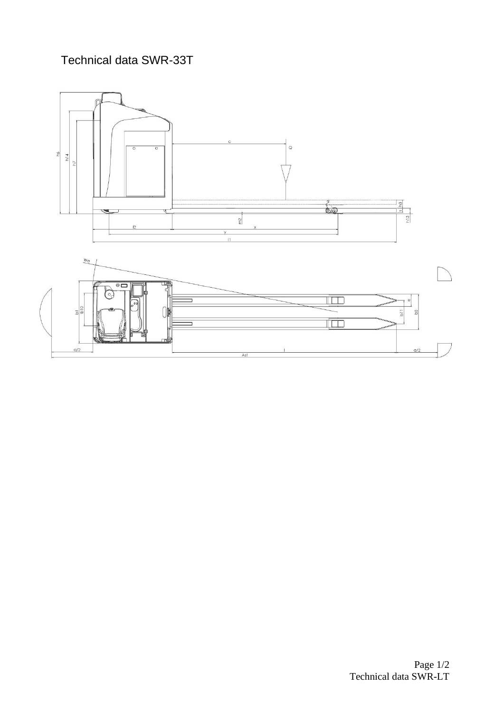## Technical data SWR-33T